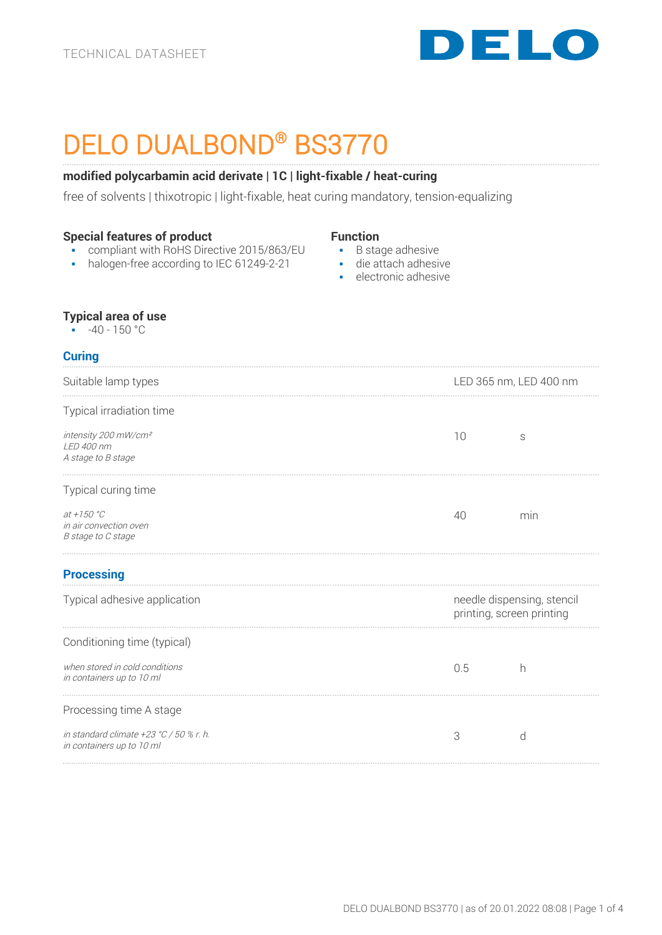

# DELO DUALBOND® BS3770

## **modified polycarbamin acid derivate | 1C | light-fixable / heat-curing**

free of solvents | thixotropic | light-fixable, heat curing mandatory, tension-equalizing

## **Special features of product**

- compliant with RoHS Directive 2015/863/EU
- halogen-free according to IEC 61249-2-21

#### **Function**

- B stage adhesive
- die attach adhesive
	- electronic adhesive

#### **Typical area of use**

 $\cdot$  -40 - 150 °C

## **Curing**

| Suitable lamp types                                                    | LED 365 nm, LED 400 nm                                  |     |
|------------------------------------------------------------------------|---------------------------------------------------------|-----|
| Typical irradiation time                                               |                                                         |     |
| intensity 200 mW/cm <sup>2</sup><br>LED 400 nm<br>A stage to B stage   | 10                                                      | S   |
| Typical curing time                                                    |                                                         |     |
| at $+150 °C$<br>in air convection oven<br>B stage to C stage           | 40                                                      | min |
| <b>Processing</b>                                                      |                                                         |     |
| Typical adhesive application                                           | needle dispensing, stencil<br>printing, screen printing |     |
| Conditioning time (typical)                                            |                                                         |     |
| when stored in cold conditions<br>in containers up to 10 ml            | 0.5                                                     | h   |
| Processing time A stage                                                |                                                         |     |
| in standard climate $+23$ °C / 50 % r. h.<br>in containers up to 10 ml | 3                                                       | d   |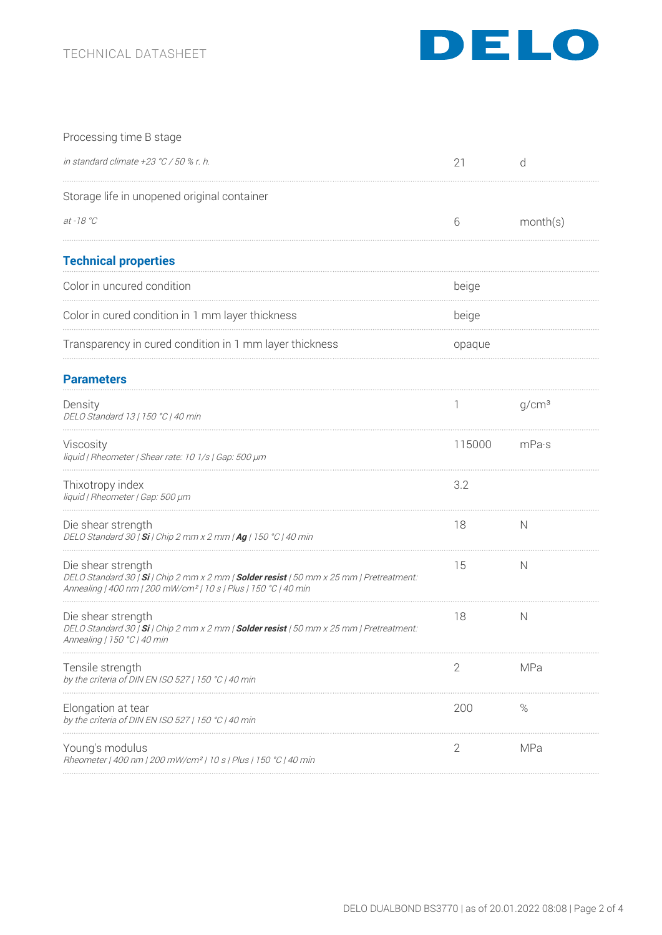

| Processing time B stage                                                                                                                                                                       |        |                   |
|-----------------------------------------------------------------------------------------------------------------------------------------------------------------------------------------------|--------|-------------------|
| in standard climate $+23 °C/50 %$ r. h.                                                                                                                                                       | 21     | d                 |
| Storage life in unopened original container                                                                                                                                                   |        |                   |
| $at - 18 °C$                                                                                                                                                                                  | 6      | month(s)          |
| <b>Technical properties</b>                                                                                                                                                                   |        |                   |
| Color in uncured condition                                                                                                                                                                    | beige  |                   |
| Color in cured condition in 1 mm layer thickness                                                                                                                                              | beige  |                   |
| Transparency in cured condition in 1 mm layer thickness                                                                                                                                       | opaque |                   |
| <b>Parameters</b>                                                                                                                                                                             |        |                   |
| Density<br>DELO Standard 13   150 °C   40 min                                                                                                                                                 |        | g/cm <sup>3</sup> |
| Viscosity<br>liquid   Rheometer   Shear rate: 10 1/s   Gap: 500 µm                                                                                                                            | 115000 | mPa·s             |
| Thixotropy index<br>liquid   Rheometer   Gap: 500 µm                                                                                                                                          | 3.2    |                   |
| Die shear strength<br>DELO Standard 30   Si   Chip 2 mm x 2 mm   Ag   150 °C   40 min                                                                                                         | 18     | N                 |
| Die shear strength<br>DELO Standard 30   Si   Chip 2 mm x 2 mm   Solder resist   50 mm x 25 mm   Pretreatment:<br>Annealing   400 nm   200 mW/cm <sup>2</sup>   10 s   Plus   150 °C   40 min | 15     | N                 |
| Die shear strength<br>DELO Standard 30   Si   Chip 2 mm x 2 mm   Solder resist   50 mm x 25 mm   Pretreatment.<br>Annealing   150 °C   40 min                                                 | 18     | N                 |
| Tensile strength<br>by the criteria of DIN EN ISO 527   150 °C   40 min                                                                                                                       | 2      | MPa               |
| Elongation at tear<br>by the criteria of DIN EN ISO 527   150 °C   40 min                                                                                                                     | 200    | %                 |
| Young's modulus<br>Rheometer   400 nm   200 mW/cm <sup>2</sup>   10 s   Plus   150 °C   40 min                                                                                                | 2      | MPa               |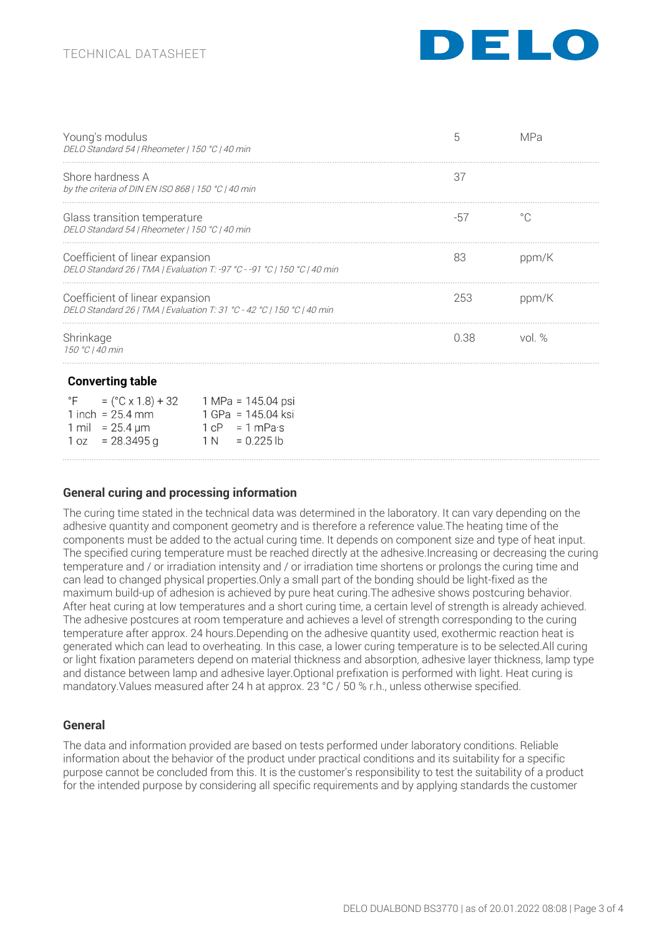

| Young's modulus<br>DELO Standard 54   Rheometer   150 °C   40 min                                                                                                                 | 5    | MPa          |
|-----------------------------------------------------------------------------------------------------------------------------------------------------------------------------------|------|--------------|
| Shore hardness A<br>by the criteria of DIN EN ISO 868   150 $^{\circ}$ C   40 min                                                                                                 | 37   |              |
| Glass transition temperature<br>DELO Standard 54   Rheometer   150 °C   40 min                                                                                                    | -57  | $^{\circ}$ C |
| Coefficient of linear expansion<br>DELO Standard 26   TMA   Evaluation T: -97 °C - -91 °C   150 °C   40 min                                                                       | 83   | ppm/K        |
| Coefficient of linear expansion<br>DELO Standard 26   TMA   Evaluation T: 31 °C - 42 °C   150 °C   40 min                                                                         | 253  | ppm/K        |
| Shrinkage<br>150 °C   40 min                                                                                                                                                      | 0.38 | vol $%$      |
| <b>Converting table</b><br>°F<br>1 inch = $25.4$ mm<br>1 GPa = 145.04 ksi<br>1 mil = $25.4 \,\mu m$<br>$1 \text{ cP} = 1 \text{ mPa·s}$<br>$1 oz = 28.3495 g$<br>$1 N = 0.225 lb$ |      |              |

## **General curing and processing information**

The curing time stated in the technical data was determined in the laboratory. It can vary depending on the adhesive quantity and component geometry and is therefore a reference value.The heating time of the components must be added to the actual curing time. It depends on component size and type of heat input. The specified curing temperature must be reached directly at the adhesive.Increasing or decreasing the curing temperature and / or irradiation intensity and / or irradiation time shortens or prolongs the curing time and can lead to changed physical properties.Only a small part of the bonding should be light-fixed as the maximum build-up of adhesion is achieved by pure heat curing.The adhesive shows postcuring behavior. After heat curing at low temperatures and a short curing time, a certain level of strength is already achieved. The adhesive postcures at room temperature and achieves a level of strength corresponding to the curing temperature after approx. 24 hours.Depending on the adhesive quantity used, exothermic reaction heat is generated which can lead to overheating. In this case, a lower curing temperature is to be selected.All curing or light fixation parameters depend on material thickness and absorption, adhesive layer thickness, lamp type and distance between lamp and adhesive layer.Optional prefixation is performed with light. Heat curing is mandatory.Values measured after 24 h at approx. 23 °C / 50 % r.h., unless otherwise specified.

#### **General**

The data and information provided are based on tests performed under laboratory conditions. Reliable information about the behavior of the product under practical conditions and its suitability for a specific purpose cannot be concluded from this. It is the customer's responsibility to test the suitability of a product for the intended purpose by considering all specific requirements and by applying standards the customer